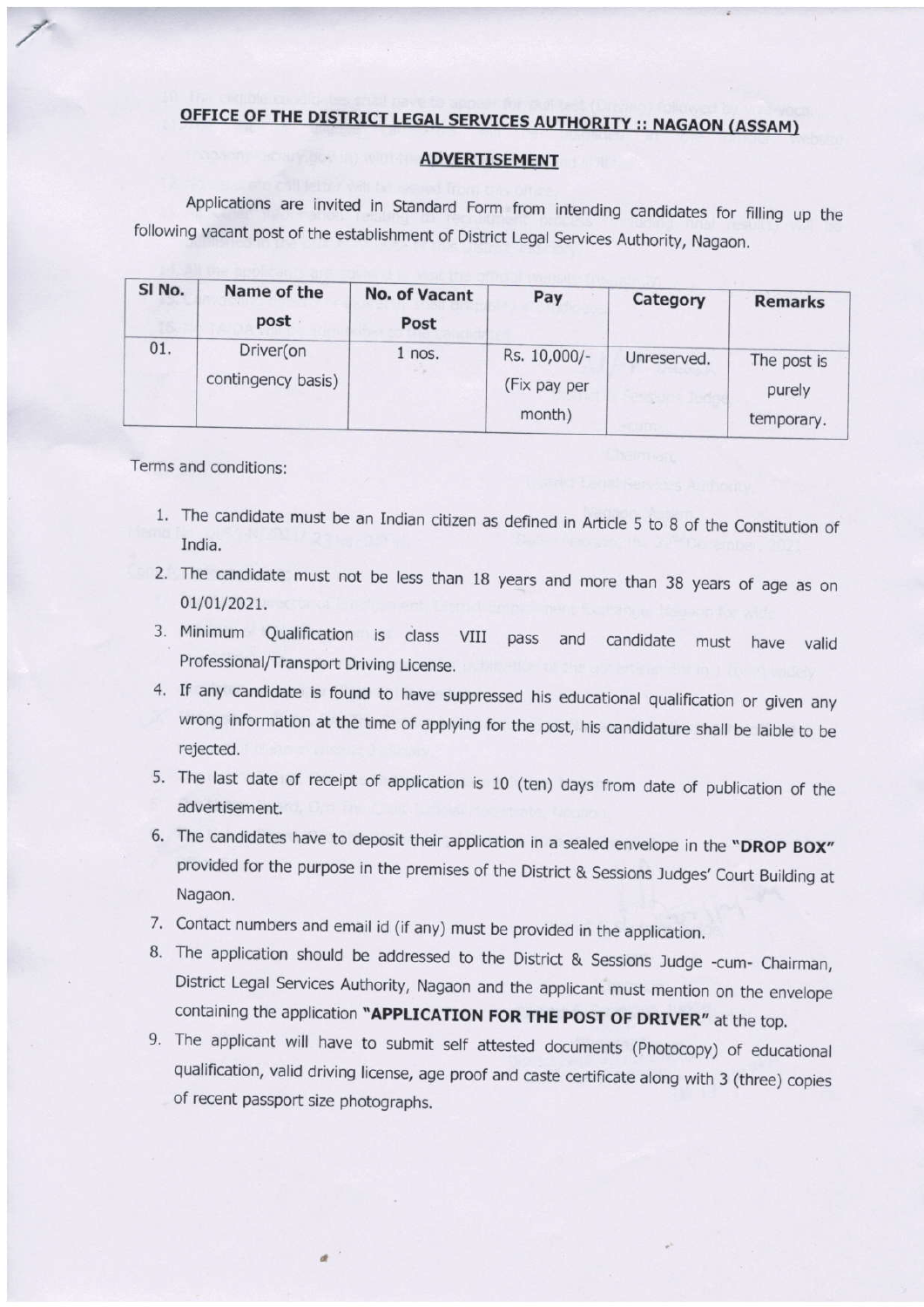## OFFICE OF THE DISTRICT LEGAL SERVICES AUTHORITY :: NAGAON (ASSAM)

## ADVERTISEMENT

Applications are invited in Standard Form from intending candidates for filling up the following vacant post of the establishment of District Legal Services Authority, Nagaon.

| SI No. | Name of the<br>post             | <b>No. of Vacant</b><br>Post | Pay                                    | Category    | <b>Remarks</b>                      |
|--------|---------------------------------|------------------------------|----------------------------------------|-------------|-------------------------------------|
| 01.    | Driver(on<br>contingency basis) | $1$ nos.                     | Rs. 10,000/-<br>(Fix pay per<br>month) | Unreserved. | The post is<br>purely<br>temporary. |

Terms and conditions:

- 1. The candidate must be an Indian citizen as defined in Article 5 to 8 of the Constitution of India.
- 2. The candidate must not be less than 18 years and more than 38 years of age as on 01/01/2021.
- 3. Minimum Qualification is class VIII pass Professional/Transport Driving License. and candidate must have valid
- 4. If any candidate is found to have suppressed his educational qualification or given any wrong information at the time of applying for the post, his candidature shall be laible to be rejected.
- 5. The last date of receipt of application is 10 (ten) days from date of publication of the advertisement.
- 6. The candidates have to deposit their application in a sealed envelope in the "DROP BOX" provided for the purpose in the premises of the District & Sessions Judges' Court Building at Nagaon.
- 7. Contact numbers and email id (if any) must be provided in the application.
- 8. The application should be addressed to the District & Sessions Judge -cum- Chairman, District Legal Services Authority, Nagaon and the applicant must mention on the envelope containing the application "APPLICATION FOR THE POST OF DRIVER" at the top.
- 9. The applicant will have to submit self attested documents (photocopy) of educational qualification, valid driving license, age proof and caste certificate along with 3 (three) copies of recent passport size photographs.